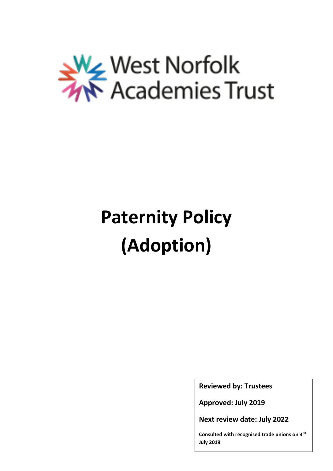

# **Paternity Policy (Adoption)**

**Reviewed by: Trustees**

**Approved: July 2019**

**Next review date: July 2022**

**Consulted with recognised trade unions on 3rd July 2019**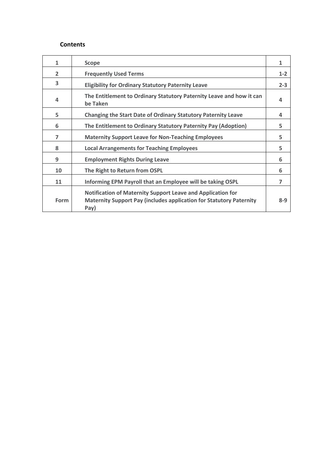#### **Contents**

| 1              | <b>Scope</b>                                                                                                                                             | 1       |
|----------------|----------------------------------------------------------------------------------------------------------------------------------------------------------|---------|
| $\overline{2}$ | <b>Frequently Used Terms</b>                                                                                                                             | $1 - 2$ |
| 3              | <b>Eligibility for Ordinary Statutory Paternity Leave</b>                                                                                                | $2 - 3$ |
| 4              | The Entitlement to Ordinary Statutory Paternity Leave and how it can<br>be Taken                                                                         | 4       |
| 5              | <b>Changing the Start Date of Ordinary Statutory Paternity Leave</b>                                                                                     | 4       |
| 6              | The Entitlement to Ordinary Statutory Paternity Pay (Adoption)                                                                                           | 5       |
| $\overline{7}$ | <b>Maternity Support Leave for Non-Teaching Employees</b>                                                                                                | 5       |
| 8              | <b>Local Arrangements for Teaching Employees</b>                                                                                                         | 5       |
| 9              | <b>Employment Rights During Leave</b>                                                                                                                    | 6       |
| 10             | The Right to Return from OSPL                                                                                                                            | 6       |
| 11             | Informing EPM Payroll that an Employee will be taking OSPL                                                                                               | 7       |
| Form           | <b>Notification of Maternity Support Leave and Application for</b><br><b>Maternity Support Pay (includes application for Statutory Paternity</b><br>Pay) | $8 - 9$ |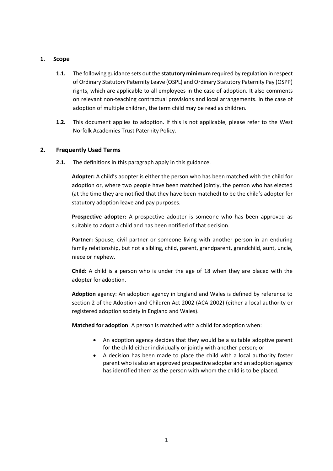# **1. Scope**

- **1.1.** The following guidance sets out the **statutory minimum** required by regulation in respect of Ordinary Statutory Paternity Leave (OSPL) and Ordinary Statutory Paternity Pay (OSPP) rights, which are applicable to all employees in the case of adoption. It also comments on relevant non-teaching contractual provisions and local arrangements. In the case of adoption of multiple children, the term child may be read as children.
- **1.2.** This document applies to adoption. If this is not applicable, please refer to the West Norfolk Academies Trust Paternity Policy.

# **2. Frequently Used Terms**

**2.1.** The definitions in this paragraph apply in this guidance.

**Adopter:** A child's adopter is either the person who has been matched with the child for adoption or, where two people have been matched jointly, the person who has elected (at the time they are notified that they have been matched) to be the child's adopter for statutory adoption leave and pay purposes.

**Prospective adopter:** A prospective adopter is someone who has been approved as suitable to adopt a child and has been notified of that decision.

**Partner:** Spouse, civil partner or someone living with another person in an enduring family relationship, but not a sibling, child, parent, grandparent, grandchild, aunt, uncle, niece or nephew.

**Child:** A child is a person who is under the age of 18 when they are placed with the adopter for adoption.

**Adoption** agency: An adoption agency in England and Wales is defined by reference to section 2 of the Adoption and Children Act 2002 (ACA 2002) (either a local authority or registered adoption society in England and Wales).

**Matched for adoption**: A person is matched with a child for adoption when:

- An adoption agency decides that they would be a suitable adoptive parent for the child either individually or jointly with another person; or
- A decision has been made to place the child with a local authority foster parent who is also an approved prospective adopter and an adoption agency has identified them as the person with whom the child is to be placed.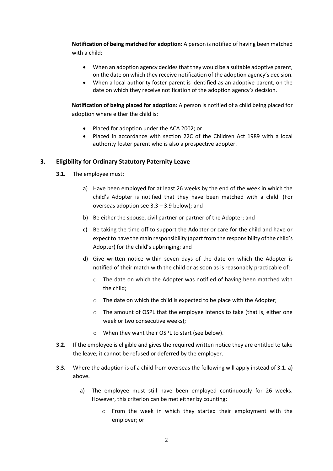**Notification of being matched for adoption:** A person is notified of having been matched with a child:

- When an adoption agency decides that they would be a suitable adoptive parent, on the date on which they receive notification of the adoption agency's decision.
- When a local authority foster parent is identified as an adoptive parent, on the date on which they receive notification of the adoption agency's decision.

**Notification of being placed for adoption:** A person is notified of a child being placed for adoption where either the child is:

- Placed for adoption under the ACA 2002; or
- Placed in accordance with section 22C of the Children Act 1989 with a local authority foster parent who is also a prospective adopter.

# **3. Eligibility for Ordinary Statutory Paternity Leave**

- **3.1.** The employee must:
	- a) Have been employed for at least 26 weeks by the end of the week in which the child's Adopter is notified that they have been matched with a child. (For overseas adoption see 3.3 – 3.9 below); and
	- b) Be either the spouse, civil partner or partner of the Adopter; and
	- c) Be taking the time off to support the Adopter or care for the child and have or expect to have the main responsibility (apart from the responsibility of the child's Adopter) for the child's upbringing; and
	- d) Give written notice within seven days of the date on which the Adopter is notified of their match with the child or as soon as is reasonably practicable of:
		- o The date on which the Adopter was notified of having been matched with the child;
		- o The date on which the child is expected to be place with the Adopter;
		- o The amount of OSPL that the employee intends to take (that is, either one week or two consecutive weeks);
		- o When they want their OSPL to start (see below).
- **3.2.** If the employee is eligible and gives the required written notice they are entitled to take the leave; it cannot be refused or deferred by the employer.
- **3.3.** Where the adoption is of a child from overseas the following will apply instead of 3.1. a) above.
	- a) The employee must still have been employed continuously for 26 weeks. However, this criterion can be met either by counting:
		- o From the week in which they started their employment with the employer; or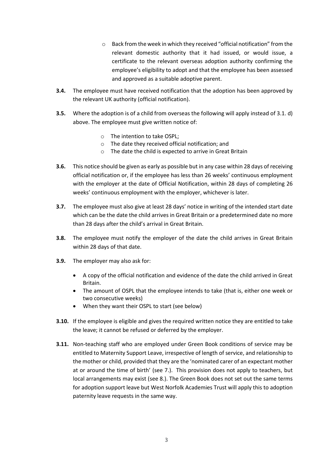- o Back from the week in which they received "official notification" from the relevant domestic authority that it had issued, or would issue, a certificate to the relevant overseas adoption authority confirming the employee's eligibility to adopt and that the employee has been assessed and approved as a suitable adoptive parent.
- **3.4.** The employee must have received notification that the adoption has been approved by the relevant UK authority (official notification).
- **3.5.** Where the adoption is of a child from overseas the following will apply instead of 3.1. d) above. The employee must give written notice of:
	- o The intention to take OSPL;
	- o The date they received official notification; and
	- o The date the child is expected to arrive in Great Britain
- **3.6.** This notice should be given as early as possible but in any case within 28 days of receiving official notification or, if the employee has less than 26 weeks' continuous employment with the employer at the date of Official Notification, within 28 days of completing 26 weeks' continuous employment with the employer, whichever is later.
- **3.7.** The employee must also give at least 28 days' notice in writing of the intended start date which can be the date the child arrives in Great Britain or a predetermined date no more than 28 days after the child's arrival in Great Britain.
- **3.8.** The employee must notify the employer of the date the child arrives in Great Britain within 28 days of that date.
- **3.9.** The employer may also ask for:
	- A copy of the official notification and evidence of the date the child arrived in Great Britain.
	- The amount of OSPL that the employee intends to take (that is, either one week or two consecutive weeks)
	- When they want their OSPL to start (see below)
- **3.10.** If the employee is eligible and gives the required written notice they are entitled to take the leave; it cannot be refused or deferred by the employer.
- **3.11.** Non-teaching staff who are employed under Green Book conditions of service may be entitled to Maternity Support Leave, irrespective of length of service, and relationship to the mother or child, provided that they are the 'nominated carer of an expectant mother at or around the time of birth' (see 7.). This provision does not apply to teachers, but local arrangements may exist (see 8.). The Green Book does not set out the same terms for adoption support leave but West Norfolk Academies Trust will apply this to adoption paternity leave requests in the same way.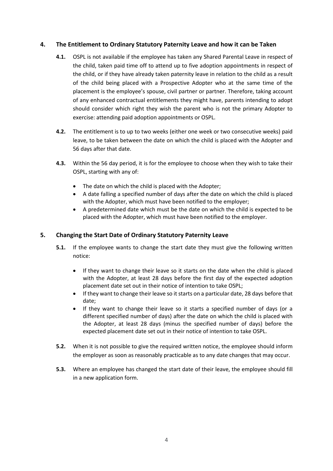# **4. The Entitlement to Ordinary Statutory Paternity Leave and how it can be Taken**

- **4.1.** OSPL is not available if the employee has taken any Shared Parental Leave in respect of the child, taken paid time off to attend up to five adoption appointments in respect of the child, or if they have already taken paternity leave in relation to the child as a result of the child being placed with a Prospective Adopter who at the same time of the placement is the employee's spouse, civil partner or partner. Therefore, taking account of any enhanced contractual entitlements they might have, parents intending to adopt should consider which right they wish the parent who is not the primary Adopter to exercise: attending paid adoption appointments or OSPL.
- **4.2.** The entitlement is to up to two weeks (either one week or two consecutive weeks) paid leave, to be taken between the date on which the child is placed with the Adopter and 56 days after that date.
- **4.3.** Within the 56 day period, it is for the employee to choose when they wish to take their OSPL, starting with any of:
	- The date on which the child is placed with the Adopter;
	- A date falling a specified number of days after the date on which the child is placed with the Adopter, which must have been notified to the employer;
	- A predetermined date which must be the date on which the child is expected to be placed with the Adopter, which must have been notified to the employer.

# **5. Changing the Start Date of Ordinary Statutory Paternity Leave**

- **5.1.** If the employee wants to change the start date they must give the following written notice:
	- If they want to change their leave so it starts on the date when the child is placed with the Adopter, at least 28 days before the first day of the expected adoption placement date set out in their notice of intention to take OSPL;
	- If they want to change their leave so it starts on a particular date, 28 days before that date;
	- If they want to change their leave so it starts a specified number of days (or a different specified number of days) after the date on which the child is placed with the Adopter, at least 28 days (minus the specified number of days) before the expected placement date set out in their notice of intention to take OSPL.
- **5.2.** When it is not possible to give the required written notice, the employee should inform the employer as soon as reasonably practicable as to any date changes that may occur.
- **5.3.** Where an employee has changed the start date of their leave, the employee should fill in a new application form.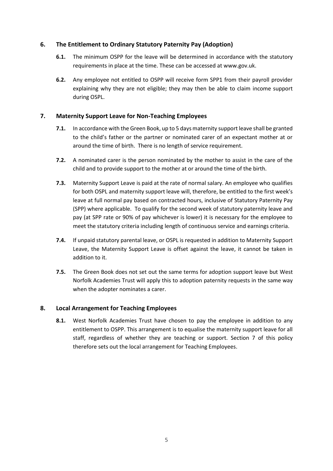# **6. The Entitlement to Ordinary Statutory Paternity Pay (Adoption)**

- **6.1.** The minimum OSPP for the leave will be determined in accordance with the statutory requirements in place at the time. These can be accessed at [www.gov.uk.](http://www.gov.uk/)
- **6.2.** Any employee not entitled to OSPP will receive form SPP1 from their payroll provider explaining why they are not eligible; they may then be able to claim income support during OSPL.

# **7. Maternity Support Leave for Non-Teaching Employees**

- **7.1.** In accordance with the Green Book, up to 5 days maternity support leave shall be granted to the child's father or the partner or nominated carer of an expectant mother at or around the time of birth. There is no length of service requirement.
- **7.2.** A nominated carer is the person nominated by the mother to assist in the care of the child and to provide support to the mother at or around the time of the birth.
- **7.3.** Maternity Support Leave is paid at the rate of normal salary. An employee who qualifies for both OSPL and maternity support leave will, therefore, be entitled to the first week's leave at full normal pay based on contracted hours, inclusive of Statutory Paternity Pay (SPP) where applicable. To qualify for the second week of statutory paternity leave and pay (at SPP rate or 90% of pay whichever is lower) it is necessary for the employee to meet the statutory criteria including length of continuous service and earnings criteria.
- **7.4.** If unpaid statutory parental leave, or OSPL is requested in addition to Maternity Support Leave, the Maternity Support Leave is offset against the leave, it cannot be taken in addition to it.
- **7.5.** The Green Book does not set out the same terms for adoption support leave but West Norfolk Academies Trust will apply this to adoption paternity requests in the same way when the adopter nominates a carer.

# **8. Local Arrangement for Teaching Employees**

**8.1.** West Norfolk Academies Trust have chosen to pay the employee in addition to any entitlement to OSPP. This arrangement is to equalise the maternity support leave for all staff, regardless of whether they are teaching or support. Section 7 of this policy therefore sets out the local arrangement for Teaching Employees.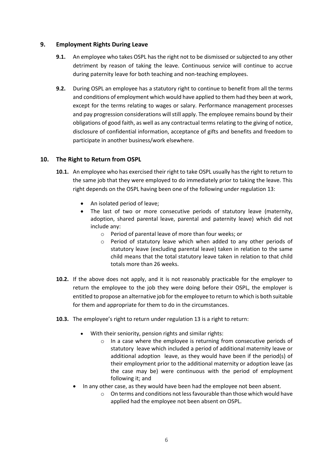# **9. Employment Rights During Leave**

- **9.1.** An employee who takes OSPL has the right not to be dismissed or subjected to any other detriment by reason of taking the leave. Continuous service will continue to accrue during paternity leave for both teaching and non-teaching employees.
- **9.2.** During OSPL an employee has a statutory right to continue to benefit from all the terms and conditions of employment which would have applied to them had they been at work, except for the terms relating to wages or salary. Performance management processes and pay progression considerations will still apply. The employee remains bound by their obligations of good faith, as well as any contractual terms relating to the giving of notice, disclosure of confidential information, acceptance of gifts and benefits and freedom to participate in another business/work elsewhere.

# **10. The Right to Return from OSPL**

- **10.1.** An employee who has exercised their right to take OSPL usually has the right to return to the same job that they were employed to do immediately prior to taking the leave. This right depends on the OSPL having been one of the following under regulation 13:
	- An isolated period of leave;
	- The last of two or more consecutive periods of statutory leave (maternity, adoption, shared parental leave, parental and paternity leave) which did not include any:
		- o Period of parental leave of more than four weeks; or
		- o Period of statutory leave which when added to any other periods of statutory leave (excluding parental leave) taken in relation to the same child means that the total statutory leave taken in relation to that child totals more than 26 weeks.
- **10.2.** If the above does not apply, and it is not reasonably practicable for the employer to return the employee to the job they were doing before their OSPL, the employer is entitled to propose an alternative job for the employee to return to which is both suitable for them and appropriate for them to do in the circumstances.
- **10.3.** The employee's right to return under regulation 13 is a right to return:
	- With their seniority, pension rights and similar rights:
		- o In a case where the employee is returning from consecutive periods of statutory leave which included a period of additional maternity leave or additional adoption leave, as they would have been if the period(s) of their employment prior to the additional maternity or adoption leave (as the case may be) were continuous with the period of employment following it; and
	- In any other case, as they would have been had the employee not been absent.
		- o On terms and conditions not less favourable than those which would have applied had the employee not been absent on OSPL.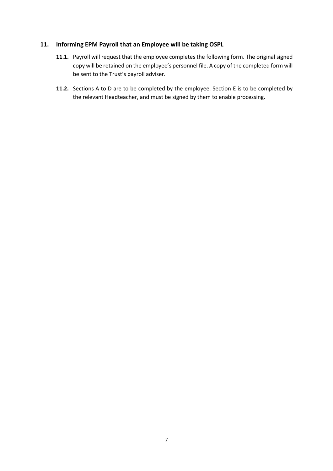# **11. Informing EPM Payroll that an Employee will be taking OSPL**

- **11.1.** Payroll will request that the employee completes the following form. The original signed copy will be retained on the employee's personnel file. A copy of the completed form will be sent to the Trust's payroll adviser.
- **11.2.** Sections A to D are to be completed by the employee. Section E is to be completed by the relevant Headteacher, and must be signed by them to enable processing.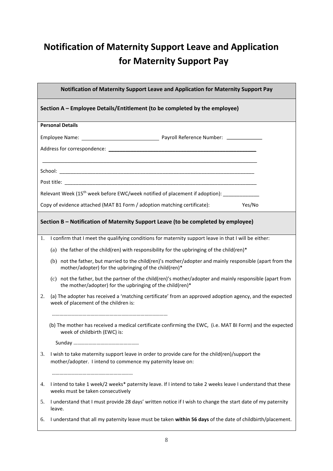# **Notification of Maternity Support Leave and Application for Maternity Support Pay**

| Notification of Maternity Support Leave and Application for Maternity Support Pay                                                                                      |        |  |  |
|------------------------------------------------------------------------------------------------------------------------------------------------------------------------|--------|--|--|
| Section A - Employee Details/Entitlement (to be completed by the employee)                                                                                             |        |  |  |
| <b>Personal Details</b>                                                                                                                                                |        |  |  |
|                                                                                                                                                                        |        |  |  |
|                                                                                                                                                                        |        |  |  |
|                                                                                                                                                                        |        |  |  |
|                                                                                                                                                                        |        |  |  |
|                                                                                                                                                                        |        |  |  |
| Relevant Week (15 <sup>th</sup> week before EWC/week notified of placement if adoption):                                                                               |        |  |  |
| Copy of evidence attached (MAT B1 Form / adoption matching certificate):                                                                                               | Yes/No |  |  |
| Section B - Notification of Maternity Support Leave (to be completed by employee)                                                                                      |        |  |  |
| I confirm that I meet the qualifying conditions for maternity support leave in that I will be either:<br>1.                                                            |        |  |  |
| (a) the father of the child(ren) with responsibility for the upbringing of the child(ren)*                                                                             |        |  |  |
| (b) not the father, but married to the child(ren)'s mother/adopter and mainly responsible (apart from the<br>mother/adopter) for the upbringing of the child(ren)*     |        |  |  |
| (c) not the father, but the partner of the child(ren)'s mother/adopter and mainly responsible (apart from<br>the mother/adopter) for the upbringing of the child(ren)* |        |  |  |
| (a) The adopter has received a 'matching certificate' from an approved adoption agency, and the expected<br>2.<br>week of placement of the children is:                |        |  |  |
| (b) The mother has received a medical certificate confirming the EWC, (i.e. MAT BI Form) and the expected<br>week of childbirth (EWC) is:                              |        |  |  |
|                                                                                                                                                                        |        |  |  |
| I wish to take maternity support leave in order to provide care for the child(ren)/support the<br>3.<br>mother/adopter. I intend to commence my paternity leave on:    |        |  |  |
| I intend to take 1 week/2 weeks* paternity leave. If I intend to take 2 weeks leave I understand that these<br>4.<br>weeks must be taken consecutively                 |        |  |  |
| I understand that I must provide 28 days' written notice if I wish to change the start date of my paternity<br>5.<br>leave.                                            |        |  |  |
| I understand that all my paternity leave must be taken within 56 days of the date of childbirth/placement.<br>6.                                                       |        |  |  |